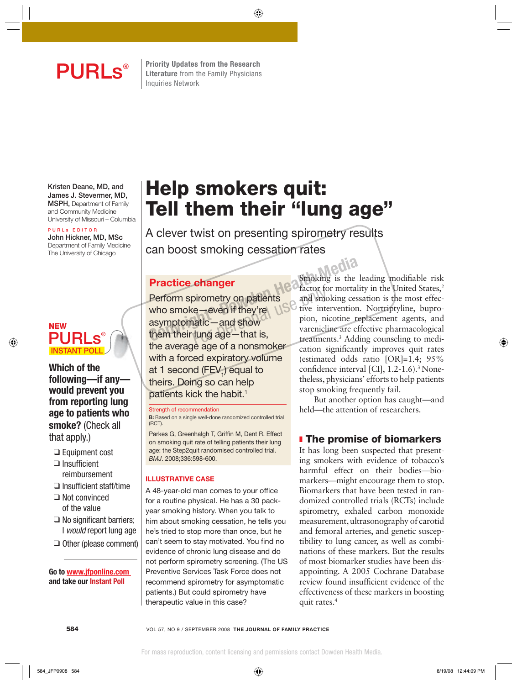**PURLS**<sup>®</sup> Elterature from the Family Physicians **Literature** from the Family Physicians Inquiries Network

**Kristen Deane, MD, and James J. Stevermer, MD, MSPH,** Department of Family and Community Medicine University of Missouri – Columbia

#### **P U R L s E D I T O R**

**John Hickner, MD, MSc** Department of Family Medicine The University of Chicago



## **Which of the following—if any would prevent you from reporting lung age to patients who smoke?** (Check all that apply.)

- ❑ Equipment cost
- $\Box$  Insufficient reimbursement
- $\square$  Insufficient staff/time
- ❑ Not convinced of the value
- $\Box$  No significant barriers: I would report lung age
- ❑ Other (please comment)

 **Go to www.jfponline.com and take our Instant Poll**

# **Help smokers quit: Tell them their "lung age"**

A clever twist on presenting spirometry results can boost smoking cessation rates

## **Practice changer**

Perform spirometry on patients who smoke—even if they're asymptomatic—and show them their lung age—that is, the average age of a nonsmoker with a forced expiratory volume at 1 second (FEV<sub>1</sub>) equal to theirs. Doing so can help patients kick the habit.<sup>1</sup> **Practice changer**<br>
Perform spirometry on patients<br>
who smoke—even if they're<br>
them their lung age—that is,<br>
the everage one of a personalize them their lung age—that is,

#### Strength of recommendation

**B:** Based on a single well-done randomized controlled trial (RCT).

Parkes G, Greenhalgh T, Griffin M, Dent R. Effect on smoking quit rate of telling patients their lung age: the Step2quit randomised controlled trial. BMJ. 2008;336:598-600.

#### **ILLUSTRATIVE CASE**

A 48-year-old man comes to your office for a routine physical. He has a 30 packyear smoking history. When you talk to him about smoking cessation, he tells you he's tried to stop more than once, but he can't seem to stay motivated. You find no evidence of chronic lung disease and do not perform spirometry screening. (The US Preventive Services Task Force does not recommend spirometry for asymptomatic patients.) But could spirometry have therapeutic value in this case?

Smoking is the leading modifiable risk factor for mortality in the United States,<sup>2</sup> and smoking cessation is the most effective intervention. Nortriptyline, bupropion, nicotine replacement agents, and varenicline are effective pharmacological treatments.3 Adding counseling to medication significantly improves quit rates (estimated odds ratio [OR]=1.4; 95% confidence interval [CI],  $1.2$ -1.6).<sup>3</sup> Nonetheless, physicians' efforts to help patients stop smoking frequently fail.

But another option has caught—and held—the attention of researchers.

## ❚ **The promise of biomarkers**

It has long been suspected that presenting smokers with evidence of tobacco's harmful effect on their bodies—biomarkers—might encourage them to stop. Biomarkers that have been tested in randomized controlled trials (RCTs) include spirometry, exhaled carbon monoxide measurement, ultrasonography of carotid and femoral arteries, and genetic susceptibility to lung cancer, as well as combinations of these markers. But the results of most biomarker studies have been disappointing. A 2005 Cochrane Database review found insufficient evidence of the effectiveness of these markers in boosting quit rates.4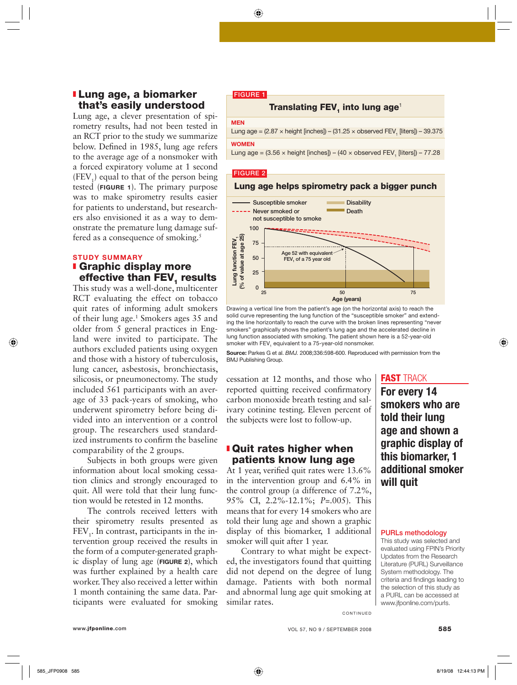## ❚ **Lung age, a biomarker that's easily understood**

Lung age, a clever presentation of spirometry results, had not been tested in an RCT prior to the study we summarize below. Defined in 1985, lung age refers to the average age of a nonsmoker with a forced expiratory volume at 1 second  $(FEV_1)$  equal to that of the person being tested (**FIGURE 1**). The primary purpose was to make spirometry results easier for patients to understand, but researchers also envisioned it as a way to demonstrate the premature lung damage suffered as a consequence of smoking.<sup>5</sup>

## **STUDY SUMMARY**

## ❚ **Graphic display more effective than FEV, results**

This study was a well-done, multicenter RCT evaluating the effect on tobacco quit rates of informing adult smokers of their lung age.<sup>1</sup> Smokers ages 35 and older from 5 general practices in England were invited to participate. The authors excluded patients using oxygen and those with a history of tuberculosis, lung cancer, asbestosis, bronchiectasis, silicosis, or pneumonectomy. The study included 561 participants with an average of 33 pack-years of smoking, who underwent spirometry before being divided into an intervention or a control group. The researchers used standardized instruments to confirm the baseline comparability of the 2 groups.

Subjects in both groups were given information about local smoking cessation clinics and strongly encouraged to quit. All were told that their lung function would be retested in 12 months.

The controls received letters with their spirometry results presented as  $FEV<sub>1</sub>$ . In contrast, participants in the intervention group received the results in the form of a computer-generated graphic display of lung age (**FIGURE 2**), which was further explained by a health care worker. They also received a letter within 1 month containing the same data. Participants were evaluated for smoking

#### **FIGURE 1**

## **Translating FEV, into lung age<sup>1</sup>**

#### **MEN**

Lung age = (2.87  $\times$  height [inches]) – (31.25  $\times$  observed FEV<sub>1</sub> [liters]) – 39.375 **WOMEN**

Lung age = (3.56  $\times$  height [inches]) – (40  $\times$  observed FEV<sub>1</sub> [liters]) – 77.28

#### **FIGURE 2**

### **Lung age helps spirometry pack a bigger punch**



Drawing a vertical line from the patient's age (on the horizontal axis) to reach the solid curve representing the lung function of the "susceptible smoker" and extending the line horizontally to reach the curve with the broken lines representing "never smokers" graphically shows the patient's lung age and the accelerated decline in lung function associated with smoking. The patient shown here is a 52-year-old smoker with FEV<sub>1</sub> equivalent to a 75-year-old nonsmoker.

**Source:** Parkes G et al. BMJ. 2008;336:598-600. Reproduced with permission from the BMJ Publishing Group.

cessation at 12 months, and those who reported quitting received confirmatory carbon monoxide breath testing and salivary cotinine testing. Eleven percent of the subjects were lost to follow-up.

## ❚ **Quit rates higher when patients know lung age**

At 1 year, verified quit rates were  $13.6\%$ in the intervention group and 6.4% in the control group (a difference of 7.2%, 95% CI, 2.2%-12.1%; *P*=.005). This means that for every 14 smokers who are told their lung age and shown a graphic display of this biomarker, 1 additional smoker will quit after 1 year.

Contrary to what might be expected, the investigators found that quitting did not depend on the degree of lung damage. Patients with both normal and abnormal lung age quit smoking at similar rates.

## **FAST** TRACK

**For every 14 smokers who are told their lung age and shown a graphic display of this biomarker, 1 additional smoker will quit**

#### **PURLs methodology**

This study was selected and evaluated using FPIN's Priority Updates from the Research Literature (PURL) Surveillance System methodology. The criteria and findings leading to the selection of this study as a PURL can be accessed at www.jfponline.com/purls.

**CONTINUED**